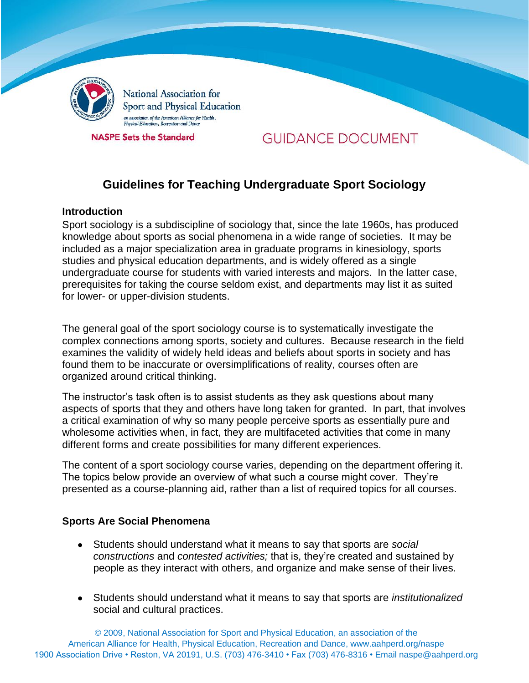

National Association for Sport and Physical Education an association of the American Alliance for Health,<br>Physical Education, Recreation and Dance

**NASPE Sets the Standard** 

# **GUIDANCE DOCUMENT**

# **Guidelines for Teaching Undergraduate Sport Sociology**

## **Introduction**

Sport sociology is a subdiscipline of sociology that, since the late 1960s, has produced knowledge about sports as social phenomena in a wide range of societies. It may be included as a major specialization area in graduate programs in kinesiology, sports studies and physical education departments, and is widely offered as a single undergraduate course for students with varied interests and majors. In the latter case, prerequisites for taking the course seldom exist, and departments may list it as suited for lower- or upper-division students.

The general goal of the sport sociology course is to systematically investigate the complex connections among sports, society and cultures. Because research in the field examines the validity of widely held ideas and beliefs about sports in society and has found them to be inaccurate or oversimplifications of reality, courses often are organized around critical thinking.

The instructor's task often is to assist students as they ask questions about many aspects of sports that they and others have long taken for granted. In part, that involves a critical examination of why so many people perceive sports as essentially pure and wholesome activities when, in fact, they are multifaceted activities that come in many different forms and create possibilities for many different experiences.

The content of a sport sociology course varies, depending on the department offering it. The topics below provide an overview of what such a course might cover. They're presented as a course-planning aid, rather than a list of required topics for all courses.

## **Sports Are Social Phenomena**

- Students should understand what it means to say that sports are *social constructions* and *contested activities;* that is, they're created and sustained by people as they interact with others, and organize and make sense of their lives.
- Students should understand what it means to say that sports are *institutionalized*  social and cultural practices.

© 2009, National Association for Sport and Physical Education, an association of the American Alliance for Health, Physical Education, Recreation and Dance, www.aahperd.org/naspe 1900 Association Drive • Reston, VA 20191, U.S. (703) 476-3410 • Fax (703) 476-8316 • Email naspe@aahperd.org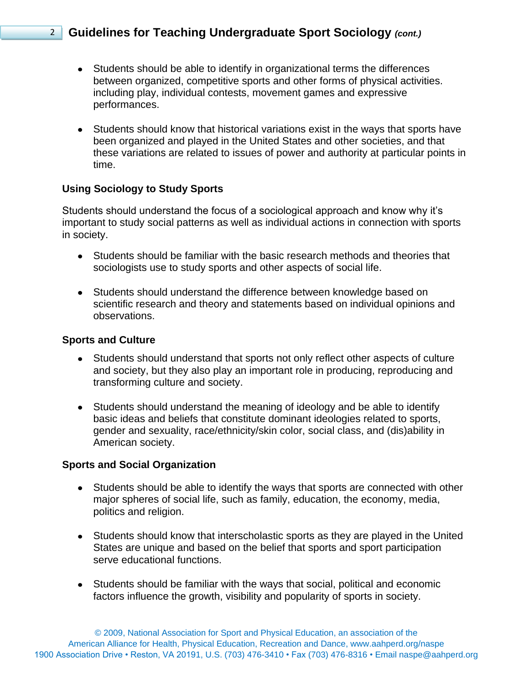- Students should be able to identify in organizational terms the differences between organized, competitive sports and other forms of physical activities. including play, individual contests, movement games and expressive performances.
- Students should know that historical variations exist in the ways that sports have been organized and played in the United States and other societies, and that these variations are related to issues of power and authority at particular points in time.

### **Using Sociology to Study Sports**

Students should understand the focus of a sociological approach and know why it's important to study social patterns as well as individual actions in connection with sports in society.

- Students should be familiar with the basic research methods and theories that sociologists use to study sports and other aspects of social life.
- Students should understand the difference between knowledge based on scientific research and theory and statements based on individual opinions and observations.

#### **Sports and Culture**

- Students should understand that sports not only reflect other aspects of culture and society, but they also play an important role in producing, reproducing and transforming culture and society.
- Students should understand the meaning of ideology and be able to identify basic ideas and beliefs that constitute dominant ideologies related to sports, gender and sexuality, race/ethnicity/skin color, social class, and (dis)ability in American society.

#### **Sports and Social Organization**

- Students should be able to identify the ways that sports are connected with other major spheres of social life, such as family, education, the economy, media, politics and religion.
- Students should know that interscholastic sports as they are played in the United States are unique and based on the belief that sports and sport participation serve educational functions.
- Students should be familiar with the ways that social, political and economic factors influence the growth, visibility and popularity of sports in society.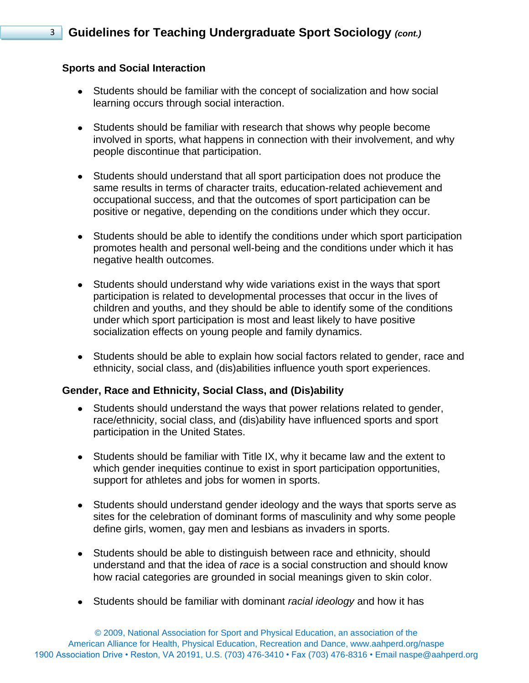## **Sports and Social Interaction**

- Students should be familiar with the concept of socialization and how social learning occurs through social interaction.
- Students should be familiar with research that shows why people become involved in sports, what happens in connection with their involvement, and why people discontinue that participation.
- Students should understand that all sport participation does not produce the same results in terms of character traits, education-related achievement and occupational success, and that the outcomes of sport participation can be positive or negative, depending on the conditions under which they occur.
- Students should be able to identify the conditions under which sport participation promotes health and personal well-being and the conditions under which it has negative health outcomes.
- Students should understand why wide variations exist in the ways that sport participation is related to developmental processes that occur in the lives of children and youths, and they should be able to identify some of the conditions under which sport participation is most and least likely to have positive socialization effects on young people and family dynamics.
- Students should be able to explain how social factors related to gender, race and ethnicity, social class, and (dis)abilities influence youth sport experiences.

## **Gender, Race and Ethnicity, Social Class, and (Dis)ability**

- Students should understand the ways that power relations related to gender, race/ethnicity, social class, and (dis)ability have influenced sports and sport participation in the United States.
- Students should be familiar with Title IX, why it became law and the extent to which gender inequities continue to exist in sport participation opportunities, support for athletes and jobs for women in sports.
- Students should understand gender ideology and the ways that sports serve as sites for the celebration of dominant forms of masculinity and why some people define girls, women, gay men and lesbians as invaders in sports.
- Students should be able to distinguish between race and ethnicity, should understand and that the idea of *race* is a social construction and should know how racial categories are grounded in social meanings given to skin color.
- Students should be familiar with dominant *racial ideology* and how it has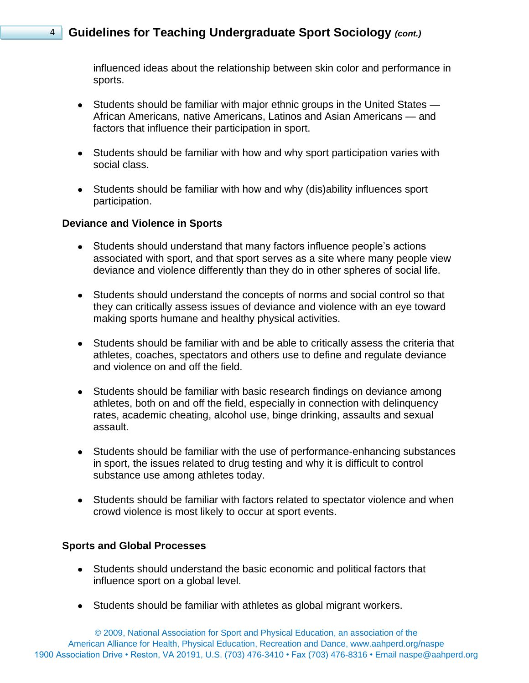influenced ideas about the relationship between skin color and performance in sports.

- Students should be familiar with major ethnic groups in the United States African Americans, native Americans, Latinos and Asian Americans — and factors that influence their participation in sport.
- Students should be familiar with how and why sport participation varies with social class.
- Students should be familiar with how and why (dis)ability influences sport participation.

### **Deviance and Violence in Sports**

- Students should understand that many factors influence people's actions associated with sport, and that sport serves as a site where many people view deviance and violence differently than they do in other spheres of social life.
- Students should understand the concepts of norms and social control so that they can critically assess issues of deviance and violence with an eye toward making sports humane and healthy physical activities.
- Students should be familiar with and be able to critically assess the criteria that athletes, coaches, spectators and others use to define and regulate deviance and violence on and off the field.
- Students should be familiar with basic research findings on deviance among athletes, both on and off the field, especially in connection with delinquency rates, academic cheating, alcohol use, binge drinking, assaults and sexual assault.
- Students should be familiar with the use of performance-enhancing substances in sport, the issues related to drug testing and why it is difficult to control substance use among athletes today.
- Students should be familiar with factors related to spectator violence and when crowd violence is most likely to occur at sport events.

## **Sports and Global Processes**

- Students should understand the basic economic and political factors that influence sport on a global level.
- Students should be familiar with athletes as global migrant workers.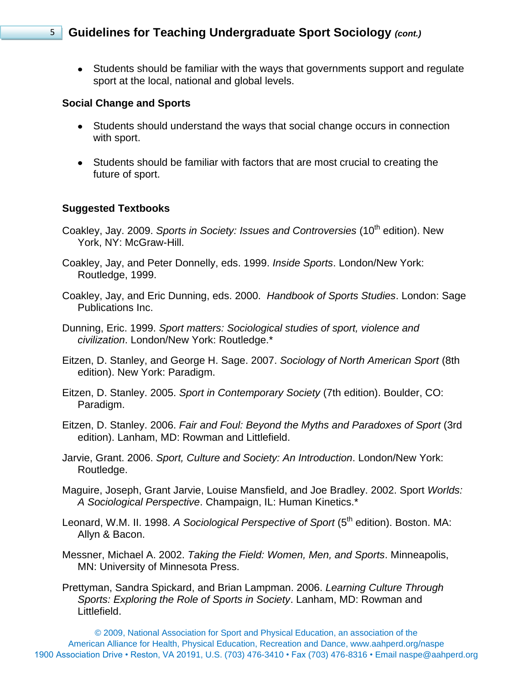Students should be familiar with the ways that governments support and regulate sport at the local, national and global levels.

### **Social Change and Sports**

- Students should understand the ways that social change occurs in connection with sport.
- Students should be familiar with factors that are most crucial to creating the future of sport.

### **Suggested Textbooks**

- Coakley, Jay. 2009. *Sports in Society: Issues and Controversies* (10<sup>th</sup> edition). New York, NY: McGraw-Hill.
- Coakley, Jay, and Peter Donnelly, eds. 1999. *Inside Sports*. London/New York: Routledge, 1999.
- Coakley, Jay, and Eric Dunning, eds. 2000. *Handbook of Sports Studies*. London: Sage Publications Inc.
- Dunning, Eric. 1999. *Sport matters: Sociological studies of sport, violence and civilization*. London/New York: Routledge.\*
- Eitzen, D. Stanley, and George H. Sage. 2007. *Sociology of North American Sport* (8th edition). New York: Paradigm.
- Eitzen, D. Stanley. 2005. *Sport in Contemporary Society* (7th edition). Boulder, CO: Paradigm.
- Eitzen, D. Stanley. 2006. *Fair and Foul: Beyond the Myths and Paradoxes of Sport* (3rd edition). Lanham, MD: Rowman and Littlefield.
- Jarvie, Grant. 2006. *Sport, Culture and Society: An Introduction*. London/New York: Routledge.
- Maguire, Joseph, Grant Jarvie, Louise Mansfield, and Joe Bradley. 2002. Sport *Worlds: A Sociological Perspective*. Champaign, IL: Human Kinetics.\*
- Leonard, W.M. II. 1998. *A Sociological Perspective of Sport* (5<sup>th</sup> edition). Boston. MA: Allyn & Bacon.
- Messner, Michael A. 2002. *Taking the Field: Women, Men, and Sports*. Minneapolis, MN: University of Minnesota Press.
- Prettyman, Sandra Spickard, and Brian Lampman. 2006. *Learning Culture Through Sports: Exploring the Role of Sports in Society*. Lanham, MD: Rowman and Littlefield.

© 2009, National Association for Sport and Physical Education, an association of the American Alliance for Health, Physical Education, Recreation and Dance, www.aahperd.org/naspe 1900 Association Drive • Reston, VA 20191, U.S. (703) 476-3410 • Fax (703) 476-8316 • Email naspe@aahperd.org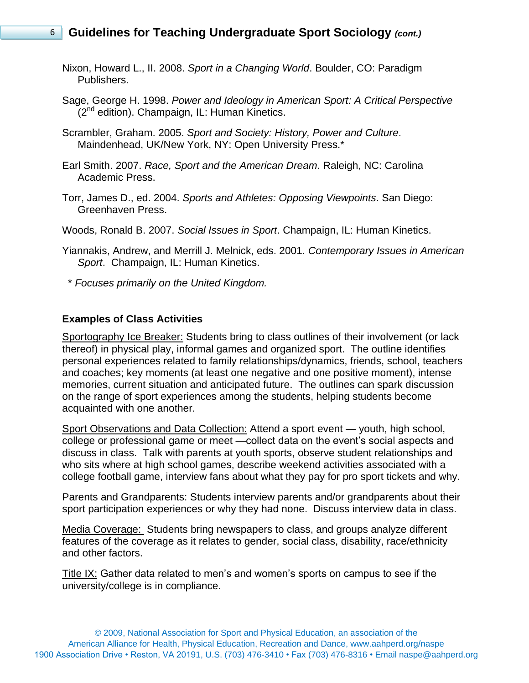- Nixon, Howard L., II. 2008. *Sport in a Changing World*. Boulder, CO: Paradigm Publishers.
- Sage, George H. 1998. *Power and Ideology in American Sport: A Critical Perspective*  $(2^{nd}$  edition). Champaign, IL: Human Kinetics.
- Scrambler, Graham. 2005. *Sport and Society: History, Power and Culture*. Maindenhead, UK/New York, NY: Open University Press.\*
- Earl Smith. 2007. *Race, Sport and the American Dream*. Raleigh, NC: Carolina Academic Press.
- Torr, James D., ed. 2004. *Sports and Athletes: Opposing Viewpoints*. San Diego: Greenhaven Press.
- Woods, Ronald B. 2007. *Social Issues in Sport*. Champaign, IL: Human Kinetics.
- Yiannakis, Andrew, and Merrill J. Melnick, eds. 2001. *Contemporary Issues in American Sport*. Champaign, IL: Human Kinetics.
	- \* *Focuses primarily on the United Kingdom.*

#### **Examples of Class Activities**

Sportography Ice Breaker: Students bring to class outlines of their involvement (or lack thereof) in physical play, informal games and organized sport. The outline identifies personal experiences related to family relationships/dynamics, friends, school, teachers and coaches; key moments (at least one negative and one positive moment), intense memories, current situation and anticipated future. The outlines can spark discussion on the range of sport experiences among the students, helping students become acquainted with one another.

Sport Observations and Data Collection: Attend a sport event — youth, high school, college or professional game or meet —collect data on the event's social aspects and discuss in class. Talk with parents at youth sports, observe student relationships and who sits where at high school games, describe weekend activities associated with a college football game, interview fans about what they pay for pro sport tickets and why.

Parents and Grandparents: Students interview parents and/or grandparents about their sport participation experiences or why they had none. Discuss interview data in class.

Media Coverage: Students bring newspapers to class, and groups analyze different features of the coverage as it relates to gender, social class, disability, race/ethnicity and other factors.

Title IX: Gather data related to men's and women's sports on campus to see if the university/college is in compliance.